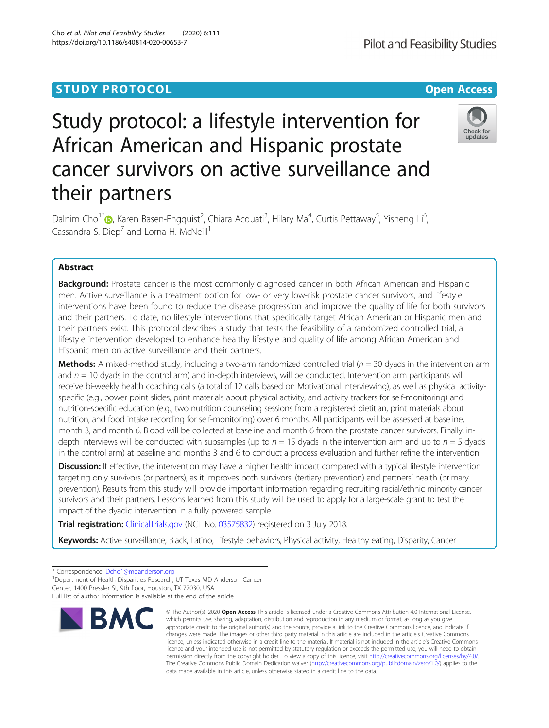## **STUDY PROTOCOL CONSUMING THE CONSUMING OPEN ACCESS**

# Study protocol: a lifestyle intervention for African American and Hispanic prostate cancer survivors on active surveillance and their partners

Dalnim Cho<sup>1[\\*](http://orcid.org/0000-0003-4509-6846)</sup>®, Karen Basen-Engquist<sup>2</sup>, Chiara Acquati<sup>3</sup>, Hilary Ma<sup>4</sup>, Curtis Pettaway<sup>5</sup>, Yisheng Li<sup>6</sup> י<br>, Cassandra S. Diep<sup>7</sup> and Lorna H. McNeill<sup>1</sup>

## Abstract

**Background:** Prostate cancer is the most commonly diagnosed cancer in both African American and Hispanic men. Active surveillance is a treatment option for low- or very low-risk prostate cancer survivors, and lifestyle interventions have been found to reduce the disease progression and improve the quality of life for both survivors and their partners. To date, no lifestyle interventions that specifically target African American or Hispanic men and their partners exist. This protocol describes a study that tests the feasibility of a randomized controlled trial, a lifestyle intervention developed to enhance healthy lifestyle and quality of life among African American and Hispanic men on active surveillance and their partners.

**Methods:** A mixed-method study, including a two-arm randomized controlled trial ( $n = 30$  dyads in the intervention arm and  $n = 10$  dyads in the control arm) and in-depth interviews, will be conducted. Intervention arm participants will receive bi-weekly health coaching calls (a total of 12 calls based on Motivational Interviewing), as well as physical activityspecific (e.g., power point slides, print materials about physical activity, and activity trackers for self-monitoring) and nutrition-specific education (e.g., two nutrition counseling sessions from a registered dietitian, print materials about nutrition, and food intake recording for self-monitoring) over 6 months. All participants will be assessed at baseline, month 3, and month 6. Blood will be collected at baseline and month 6 from the prostate cancer survivors. Finally, indepth interviews will be conducted with subsamples (up to  $n = 15$  dyads in the intervention arm and up to  $n = 5$  dyads in the control arm) at baseline and months 3 and 6 to conduct a process evaluation and further refine the intervention.

Discussion: If effective, the intervention may have a higher health impact compared with a typical lifestyle intervention targeting only survivors (or partners), as it improves both survivors' (tertiary prevention) and partners' health (primary prevention). Results from this study will provide important information regarding recruiting racial/ethnic minority cancer survivors and their partners. Lessons learned from this study will be used to apply for a large-scale grant to test the impact of the dyadic intervention in a fully powered sample.

**Trial registration:** [ClinicalTrials.gov](http://clinicaltrials.gov) (NCT No. [03575832](https://clinicaltrials.gov/ct2/show/NCT03575832?titles=watchful+living&rank=1)) registered on 3 July 2018.

Keywords: Active surveillance, Black, Latino, Lifestyle behaviors, Physical activity, Healthy eating, Disparity, Cancer

**BMC** 



© The Author(s), 2020 **Open Access** This article is licensed under a Creative Commons Attribution 4.0 International License, which permits use, sharing, adaptation, distribution and reproduction in any medium or format, as long as you give





<sup>\*</sup> Correspondence: [Dcho1@mdanderson.org](mailto:Dcho1@mdanderson.org) <sup>1</sup>

<sup>&</sup>lt;sup>1</sup>Department of Health Disparities Research, UT Texas MD Anderson Cancer Center, 1400 Pressler St, 9th floor, Houston, TX 77030, USA

Full list of author information is available at the end of the article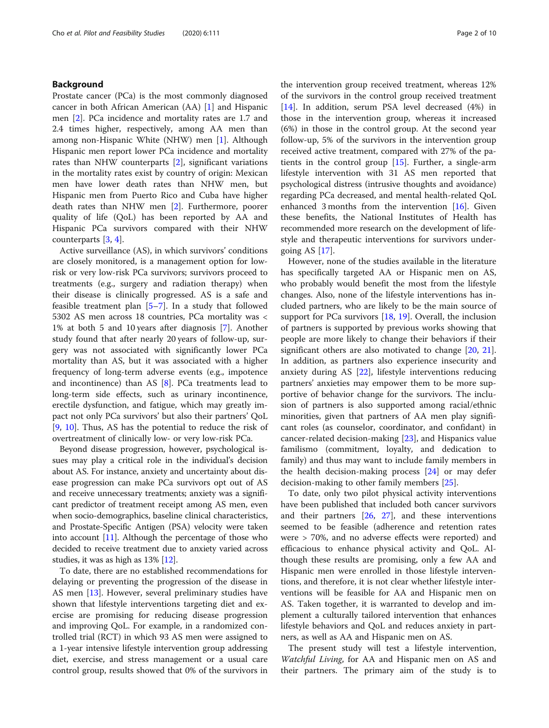## Background

Prostate cancer (PCa) is the most commonly diagnosed cancer in both African American (AA) [[1](#page-8-0)] and Hispanic men [[2\]](#page-8-0). PCa incidence and mortality rates are 1.7 and 2.4 times higher, respectively, among AA men than among non-Hispanic White (NHW) men [[1\]](#page-8-0). Although Hispanic men report lower PCa incidence and mortality rates than NHW counterparts [[2\]](#page-8-0), significant variations in the mortality rates exist by country of origin: Mexican men have lower death rates than NHW men, but Hispanic men from Puerto Rico and Cuba have higher death rates than NHW men [[2\]](#page-8-0). Furthermore, poorer quality of life (QoL) has been reported by AA and Hispanic PCa survivors compared with their NHW counterparts [[3](#page-8-0), [4](#page-8-0)].

Active surveillance (AS), in which survivors' conditions are closely monitored, is a management option for lowrisk or very low-risk PCa survivors; survivors proceed to treatments (e.g., surgery and radiation therapy) when their disease is clinically progressed. AS is a safe and feasible treatment plan [\[5](#page-8-0)–[7\]](#page-8-0). In a study that followed 5302 AS men across 18 countries, PCa mortality was < 1% at both 5 and 10 years after diagnosis [[7\]](#page-8-0). Another study found that after nearly 20 years of follow-up, surgery was not associated with significantly lower PCa mortality than AS, but it was associated with a higher frequency of long-term adverse events (e.g., impotence and incontinence) than AS [\[8\]](#page-8-0). PCa treatments lead to long-term side effects, such as urinary incontinence, erectile dysfunction, and fatigue, which may greatly impact not only PCa survivors' but also their partners' QoL [[9,](#page-8-0) [10](#page-8-0)]. Thus, AS has the potential to reduce the risk of overtreatment of clinically low- or very low-risk PCa.

Beyond disease progression, however, psychological issues may play a critical role in the individual's decision about AS. For instance, anxiety and uncertainty about disease progression can make PCa survivors opt out of AS and receive unnecessary treatments; anxiety was a significant predictor of treatment receipt among AS men, even when socio-demographics, baseline clinical characteristics, and Prostate-Specific Antigen (PSA) velocity were taken into account  $[11]$  $[11]$ . Although the percentage of those who decided to receive treatment due to anxiety varied across studies, it was as high as 13% [\[12\]](#page-8-0).

To date, there are no established recommendations for delaying or preventing the progression of the disease in AS men [\[13\]](#page-8-0). However, several preliminary studies have shown that lifestyle interventions targeting diet and exercise are promising for reducing disease progression and improving QoL. For example, in a randomized controlled trial (RCT) in which 93 AS men were assigned to a 1-year intensive lifestyle intervention group addressing diet, exercise, and stress management or a usual care control group, results showed that 0% of the survivors in the intervention group received treatment, whereas 12% of the survivors in the control group received treatment [[14\]](#page-8-0). In addition, serum PSA level decreased (4%) in those in the intervention group, whereas it increased (6%) in those in the control group. At the second year follow-up, 5% of the survivors in the intervention group received active treatment, compared with 27% of the patients in the control group [[15](#page-8-0)]. Further, a single-arm lifestyle intervention with 31 AS men reported that psychological distress (intrusive thoughts and avoidance) regarding PCa decreased, and mental health-related QoL enhanced 3 months from the intervention [[16\]](#page-8-0). Given these benefits, the National Institutes of Health has recommended more research on the development of lifestyle and therapeutic interventions for survivors undergoing AS [\[17](#page-8-0)].

However, none of the studies available in the literature has specifically targeted AA or Hispanic men on AS, who probably would benefit the most from the lifestyle changes. Also, none of the lifestyle interventions has included partners, who are likely to be the main source of support for PCa survivors  $[18, 19]$  $[18, 19]$  $[18, 19]$ . Overall, the inclusion of partners is supported by previous works showing that people are more likely to change their behaviors if their significant others are also motivated to change [[20](#page-8-0), [21](#page-8-0)]. In addition, as partners also experience insecurity and anxiety during AS [[22\]](#page-8-0), lifestyle interventions reducing partners' anxieties may empower them to be more supportive of behavior change for the survivors. The inclusion of partners is also supported among racial/ethnic minorities, given that partners of AA men play significant roles (as counselor, coordinator, and confidant) in cancer-related decision-making [[23\]](#page-8-0), and Hispanics value familismo (commitment, loyalty, and dedication to family) and thus may want to include family members in the health decision-making process [[24\]](#page-8-0) or may defer decision-making to other family members [\[25](#page-8-0)].

To date, only two pilot physical activity interventions have been published that included both cancer survivors and their partners [\[26](#page-8-0), [27\]](#page-8-0), and these interventions seemed to be feasible (adherence and retention rates were > 70%, and no adverse effects were reported) and efficacious to enhance physical activity and QoL. Although these results are promising, only a few AA and Hispanic men were enrolled in those lifestyle interventions, and therefore, it is not clear whether lifestyle interventions will be feasible for AA and Hispanic men on AS. Taken together, it is warranted to develop and implement a culturally tailored intervention that enhances lifestyle behaviors and QoL and reduces anxiety in partners, as well as AA and Hispanic men on AS.

The present study will test a lifestyle intervention, Watchful Living, for AA and Hispanic men on AS and their partners. The primary aim of the study is to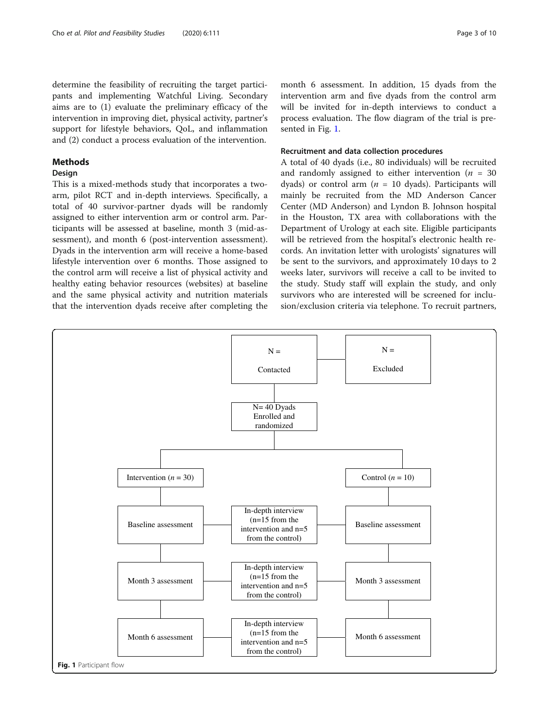determine the feasibility of recruiting the target participants and implementing Watchful Living. Secondary aims are to (1) evaluate the preliminary efficacy of the intervention in improving diet, physical activity, partner's support for lifestyle behaviors, QoL, and inflammation and (2) conduct a process evaluation of the intervention.

## Methods

## Design

This is a mixed-methods study that incorporates a twoarm, pilot RCT and in-depth interviews. Specifically, a total of 40 survivor-partner dyads will be randomly assigned to either intervention arm or control arm. Participants will be assessed at baseline, month 3 (mid-assessment), and month 6 (post-intervention assessment). Dyads in the intervention arm will receive a home-based lifestyle intervention over 6 months. Those assigned to the control arm will receive a list of physical activity and healthy eating behavior resources (websites) at baseline and the same physical activity and nutrition materials that the intervention dyads receive after completing the

month 6 assessment. In addition, 15 dyads from the intervention arm and five dyads from the control arm will be invited for in-depth interviews to conduct a process evaluation. The flow diagram of the trial is presented in Fig. 1.

## Recruitment and data collection procedures

A total of 40 dyads (i.e., 80 individuals) will be recruited and randomly assigned to either intervention ( $n = 30$ dyads) or control arm ( $n = 10$  dyads). Participants will mainly be recruited from the MD Anderson Cancer Center (MD Anderson) and Lyndon B. Johnson hospital in the Houston, TX area with collaborations with the Department of Urology at each site. Eligible participants will be retrieved from the hospital's electronic health records. An invitation letter with urologists' signatures will be sent to the survivors, and approximately 10 days to 2 weeks later, survivors will receive a call to be invited to the study. Study staff will explain the study, and only survivors who are interested will be screened for inclusion/exclusion criteria via telephone. To recruit partners,

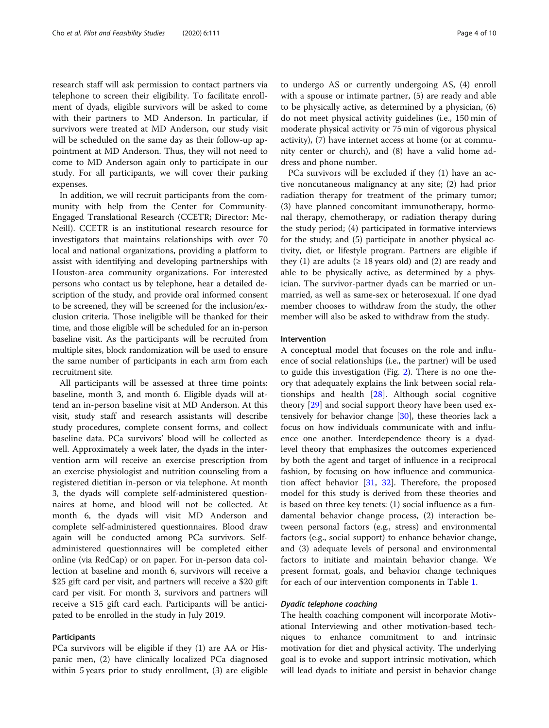research staff will ask permission to contact partners via telephone to screen their eligibility. To facilitate enrollment of dyads, eligible survivors will be asked to come with their partners to MD Anderson. In particular, if survivors were treated at MD Anderson, our study visit will be scheduled on the same day as their follow-up appointment at MD Anderson. Thus, they will not need to come to MD Anderson again only to participate in our study. For all participants, we will cover their parking expenses.

In addition, we will recruit participants from the community with help from the Center for Community-Engaged Translational Research (CCETR; Director: Mc-Neill). CCETR is an institutional research resource for investigators that maintains relationships with over 70 local and national organizations, providing a platform to assist with identifying and developing partnerships with Houston-area community organizations. For interested persons who contact us by telephone, hear a detailed description of the study, and provide oral informed consent to be screened, they will be screened for the inclusion/exclusion criteria. Those ineligible will be thanked for their time, and those eligible will be scheduled for an in-person baseline visit. As the participants will be recruited from multiple sites, block randomization will be used to ensure the same number of participants in each arm from each recruitment site.

All participants will be assessed at three time points: baseline, month 3, and month 6. Eligible dyads will attend an in-person baseline visit at MD Anderson. At this visit, study staff and research assistants will describe study procedures, complete consent forms, and collect baseline data. PCa survivors' blood will be collected as well. Approximately a week later, the dyads in the intervention arm will receive an exercise prescription from an exercise physiologist and nutrition counseling from a registered dietitian in-person or via telephone. At month 3, the dyads will complete self-administered questionnaires at home, and blood will not be collected. At month 6, the dyads will visit MD Anderson and complete self-administered questionnaires. Blood draw again will be conducted among PCa survivors. Selfadministered questionnaires will be completed either online (via RedCap) or on paper. For in-person data collection at baseline and month 6, survivors will receive a \$25 gift card per visit, and partners will receive a \$20 gift card per visit. For month 3, survivors and partners will receive a \$15 gift card each. Participants will be anticipated to be enrolled in the study in July 2019.

## Participants

PCa survivors will be eligible if they (1) are AA or Hispanic men, (2) have clinically localized PCa diagnosed within 5 years prior to study enrollment, (3) are eligible to undergo AS or currently undergoing AS, (4) enroll with a spouse or intimate partner, (5) are ready and able to be physically active, as determined by a physician, (6) do not meet physical activity guidelines (i.e., 150 min of moderate physical activity or 75 min of vigorous physical activity), (7) have internet access at home (or at community center or church), and (8) have a valid home address and phone number.

PCa survivors will be excluded if they (1) have an active noncutaneous malignancy at any site; (2) had prior radiation therapy for treatment of the primary tumor; (3) have planned concomitant immunotherapy, hormonal therapy, chemotherapy, or radiation therapy during the study period; (4) participated in formative interviews for the study; and (5) participate in another physical activity, diet, or lifestyle program. Partners are eligible if they (1) are adults ( $\geq$  18 years old) and (2) are ready and able to be physically active, as determined by a physician. The survivor-partner dyads can be married or unmarried, as well as same-sex or heterosexual. If one dyad member chooses to withdraw from the study, the other member will also be asked to withdraw from the study.

#### Intervention

A conceptual model that focuses on the role and influence of social relationships (i.e., the partner) will be used to guide this investigation (Fig. [2](#page-4-0)). There is no one theory that adequately explains the link between social relationships and health [\[28\]](#page-8-0). Although social cognitive theory [[29\]](#page-8-0) and social support theory have been used extensively for behavior change [[30\]](#page-8-0), these theories lack a focus on how individuals communicate with and influence one another. Interdependence theory is a dyadlevel theory that emphasizes the outcomes experienced by both the agent and target of influence in a reciprocal fashion, by focusing on how influence and communication affect behavior [\[31,](#page-8-0) [32](#page-8-0)]. Therefore, the proposed model for this study is derived from these theories and is based on three key tenets: (1) social influence as a fundamental behavior change process, (2) interaction between personal factors (e.g., stress) and environmental factors (e.g., social support) to enhance behavior change, and (3) adequate levels of personal and environmental factors to initiate and maintain behavior change. We present format, goals, and behavior change techniques for each of our intervention components in Table [1](#page-4-0).

## Dyadic telephone coaching

The health coaching component will incorporate Motivational Interviewing and other motivation-based techniques to enhance commitment to and intrinsic motivation for diet and physical activity. The underlying goal is to evoke and support intrinsic motivation, which will lead dyads to initiate and persist in behavior change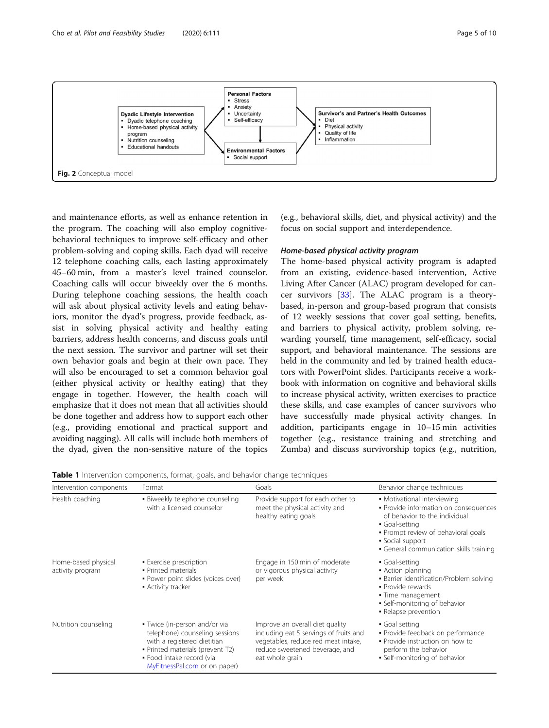<span id="page-4-0"></span>

and maintenance efforts, as well as enhance retention in the program. The coaching will also employ cognitivebehavioral techniques to improve self-efficacy and other problem-solving and coping skills. Each dyad will receive 12 telephone coaching calls, each lasting approximately 45–60 min, from a master's level trained counselor. Coaching calls will occur biweekly over the 6 months. During telephone coaching sessions, the health coach will ask about physical activity levels and eating behaviors, monitor the dyad's progress, provide feedback, assist in solving physical activity and healthy eating barriers, address health concerns, and discuss goals until the next session. The survivor and partner will set their own behavior goals and begin at their own pace. They will also be encouraged to set a common behavior goal (either physical activity or healthy eating) that they engage in together. However, the health coach will emphasize that it does not mean that all activities should be done together and address how to support each other (e.g., providing emotional and practical support and avoiding nagging). All calls will include both members of the dyad, given the non-sensitive nature of the topics

(e.g., behavioral skills, diet, and physical activity) and the focus on social support and interdependence.

## Home-based physical activity program

The home-based physical activity program is adapted from an existing, evidence-based intervention, Active Living After Cancer (ALAC) program developed for cancer survivors [\[33](#page-8-0)]. The ALAC program is a theorybased, in-person and group-based program that consists of 12 weekly sessions that cover goal setting, benefits, and barriers to physical activity, problem solving, rewarding yourself, time management, self-efficacy, social support, and behavioral maintenance. The sessions are held in the community and led by trained health educators with PowerPoint slides. Participants receive a workbook with information on cognitive and behavioral skills to increase physical activity, written exercises to practice these skills, and case examples of cancer survivors who have successfully made physical activity changes. In addition, participants engage in 10–15 min activities together (e.g., resistance training and stretching and Zumba) and discuss survivorship topics (e.g., nutrition,

| <b>Table 1</b> Intervention components, format, goals, and behavior change techniques |  |  |  |
|---------------------------------------------------------------------------------------|--|--|--|
|                                                                                       |  |  |  |

| Intervention components                 | Format                                                                                                                                                                                           | Goals                                                                                                                                                                 | Behavior change techniques                                                                                                                                                                                                    |
|-----------------------------------------|--------------------------------------------------------------------------------------------------------------------------------------------------------------------------------------------------|-----------------------------------------------------------------------------------------------------------------------------------------------------------------------|-------------------------------------------------------------------------------------------------------------------------------------------------------------------------------------------------------------------------------|
| Health coaching                         | · Biweekly telephone counseling<br>with a licensed counselor                                                                                                                                     | Provide support for each other to<br>meet the physical activity and<br>healthy eating goals                                                                           | • Motivational interviewing<br>· Provide information on consequences<br>of behavior to the individual<br>• Goal-setting<br>• Prompt review of behavioral goals<br>• Social support<br>• General communication skills training |
| Home-based physical<br>activity program | • Exercise prescription<br>• Printed materials<br>· Power point slides (voices over)<br>• Activity tracker                                                                                       | Engage in 150 min of moderate<br>or vigorous physical activity<br>per week                                                                                            | • Goal-setting<br>• Action planning<br>• Barrier identification/Problem solving<br>· Provide rewards<br>• Time management<br>· Self-monitoring of behavior<br>• Relapse prevention                                            |
| Nutrition counseling                    | • Twice (in-person and/or via<br>telephone) counseling sessions<br>with a registered dietitian<br>• Printed materials (prevent T2)<br>• Food intake record (via<br>MyFitnessPal.com or on paper) | Improve an overall diet quality<br>including eat 5 servings of fruits and<br>vegetables, reduce red meat intake,<br>reduce sweetened beverage, and<br>eat whole grain | • Goal setting<br>· Provide feedback on performance<br>. Provide instruction on how to<br>perform the behavior<br>• Self-monitoring of behavior                                                                               |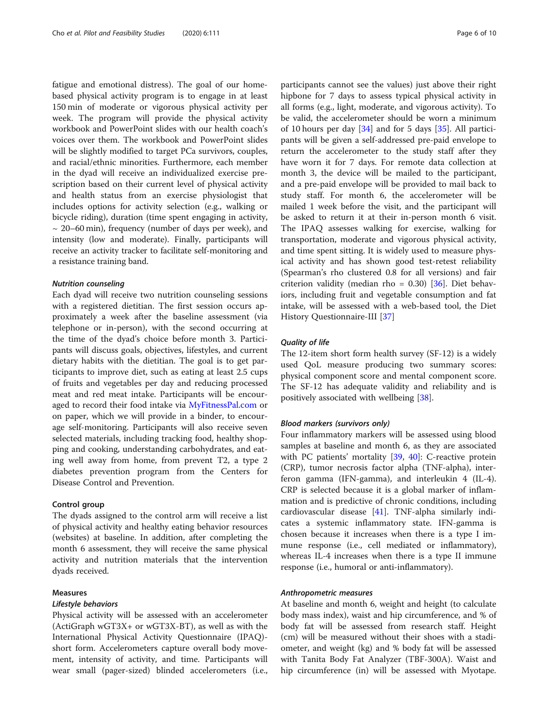fatigue and emotional distress). The goal of our homebased physical activity program is to engage in at least 150 min of moderate or vigorous physical activity per week. The program will provide the physical activity workbook and PowerPoint slides with our health coach's voices over them. The workbook and PowerPoint slides will be slightly modified to target PCa survivors, couples, and racial/ethnic minorities. Furthermore, each member in the dyad will receive an individualized exercise prescription based on their current level of physical activity and health status from an exercise physiologist that includes options for activity selection (e.g., walking or bicycle riding), duration (time spent engaging in activity,  $\sim$  20–60 min), frequency (number of days per week), and intensity (low and moderate). Finally, participants will receive an activity tracker to facilitate self-monitoring and a resistance training band.

#### Nutrition counseling

Each dyad will receive two nutrition counseling sessions with a registered dietitian. The first session occurs approximately a week after the baseline assessment (via telephone or in-person), with the second occurring at the time of the dyad's choice before month 3. Participants will discuss goals, objectives, lifestyles, and current dietary habits with the dietitian. The goal is to get participants to improve diet, such as eating at least 2.5 cups of fruits and vegetables per day and reducing processed meat and red meat intake. Participants will be encouraged to record their food intake via [MyFitnessPal.com](http://myfitnesspal.com) or on paper, which we will provide in a binder, to encourage self-monitoring. Participants will also receive seven selected materials, including tracking food, healthy shopping and cooking, understanding carbohydrates, and eating well away from home, from prevent T2, a type 2 diabetes prevention program from the Centers for Disease Control and Prevention.

## Control group

The dyads assigned to the control arm will receive a list of physical activity and healthy eating behavior resources (websites) at baseline. In addition, after completing the month 6 assessment, they will receive the same physical activity and nutrition materials that the intervention dyads received.

## Measures

#### Lifestyle behaviors

Physical activity will be assessed with an accelerometer (ActiGraph wGT3X+ or wGT3X-BT), as well as with the International Physical Activity Questionnaire (IPAQ) short form. Accelerometers capture overall body movement, intensity of activity, and time. Participants will wear small (pager-sized) blinded accelerometers (i.e.,

participants cannot see the values) just above their right hipbone for 7 days to assess typical physical activity in all forms (e.g., light, moderate, and vigorous activity). To be valid, the accelerometer should be worn a minimum of 10 hours per day [\[34\]](#page-8-0) and for 5 days [[35\]](#page-9-0). All participants will be given a self-addressed pre-paid envelope to return the accelerometer to the study staff after they have worn it for 7 days. For remote data collection at month 3, the device will be mailed to the participant, and a pre-paid envelope will be provided to mail back to study staff. For month 6, the accelerometer will be mailed 1 week before the visit, and the participant will be asked to return it at their in-person month 6 visit. The IPAQ assesses walking for exercise, walking for transportation, moderate and vigorous physical activity, and time spent sitting. It is widely used to measure physical activity and has shown good test-retest reliability (Spearman's rho clustered 0.8 for all versions) and fair criterion validity (median rho =  $0.30$ ) [ $36$ ]. Diet behaviors, including fruit and vegetable consumption and fat intake, will be assessed with a web-based tool, the Diet History Questionnaire-III [\[37](#page-9-0)]

## Quality of life

The 12-item short form health survey (SF-12) is a widely used QoL measure producing two summary scores: physical component score and mental component score. The SF-12 has adequate validity and reliability and is positively associated with wellbeing [[38](#page-9-0)].

#### Blood markers (survivors only)

Four inflammatory markers will be assessed using blood samples at baseline and month 6, as they are associated with PC patients' mortality [[39,](#page-9-0) [40](#page-9-0)]: C-reactive protein (CRP), tumor necrosis factor alpha (TNF-alpha), interferon gamma (IFN-gamma), and interleukin 4 (IL-4). CRP is selected because it is a global marker of inflammation and is predictive of chronic conditions, including cardiovascular disease [[41\]](#page-9-0). TNF-alpha similarly indicates a systemic inflammatory state. IFN-gamma is chosen because it increases when there is a type I immune response (i.e., cell mediated or inflammatory), whereas IL-4 increases when there is a type II immune response (i.e., humoral or anti-inflammatory).

#### Anthropometric measures

At baseline and month 6, weight and height (to calculate body mass index), waist and hip circumference, and % of body fat will be assessed from research staff. Height (cm) will be measured without their shoes with a stadiometer, and weight (kg) and % body fat will be assessed with Tanita Body Fat Analyzer (TBF-300A). Waist and hip circumference (in) will be assessed with Myotape.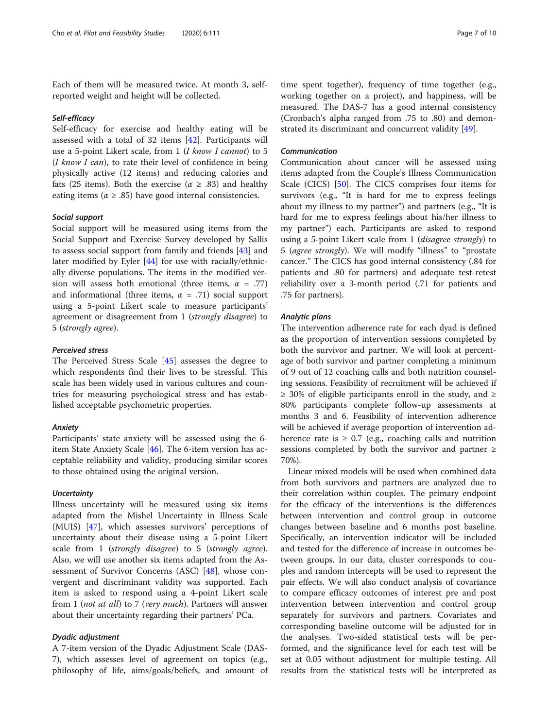Each of them will be measured twice. At month 3, selfreported weight and height will be collected.

#### Self-efficacy

Self-efficacy for exercise and healthy eating will be assessed with a total of 32 items [\[42\]](#page-9-0). Participants will use a 5-point Likert scale, from 1 (I know I cannot) to 5  $(I \n{ know } I \n{ can}$ , to rate their level of confidence in being physically active (12 items) and reducing calories and fats (25 items). Both the exercise ( $\alpha \geq .83$ ) and healthy eating items ( $\alpha \geq .85$ ) have good internal consistencies.

## Social support

Social support will be measured using items from the Social Support and Exercise Survey developed by Sallis to assess social support from family and friends [\[43](#page-9-0)] and later modified by Eyler [[44](#page-9-0)] for use with racially/ethnically diverse populations. The items in the modified version will assess both emotional (three items,  $\alpha$  = .77) and informational (three items,  $\alpha = .71$ ) social support using a 5-point Likert scale to measure participants' agreement or disagreement from 1 (strongly disagree) to 5 (strongly agree).

### Perceived stress

The Perceived Stress Scale [[45](#page-9-0)] assesses the degree to which respondents find their lives to be stressful. This scale has been widely used in various cultures and countries for measuring psychological stress and has established acceptable psychometric properties.

## Anxiety

Participants' state anxiety will be assessed using the 6 item State Anxiety Scale [\[46](#page-9-0)]. The 6-item version has acceptable reliability and validity, producing similar scores to those obtained using the original version.

## **Uncertainty**

Illness uncertainty will be measured using six items adapted from the Mishel Uncertainty in Illness Scale (MUIS) [\[47](#page-9-0)], which assesses survivors' perceptions of uncertainty about their disease using a 5-point Likert scale from 1 (strongly disagree) to 5 (strongly agree). Also, we will use another six items adapted from the Assessment of Survivor Concerns (ASC) [\[48](#page-9-0)], whose convergent and discriminant validity was supported. Each item is asked to respond using a 4-point Likert scale from 1 (not at all) to 7 (very much). Partners will answer about their uncertainty regarding their partners' PCa.

## Dyadic adjustment

A 7-item version of the Dyadic Adjustment Scale (DAS-7), which assesses level of agreement on topics (e.g., philosophy of life, aims/goals/beliefs, and amount of

time spent together), frequency of time together (e.g., working together on a project), and happiness, will be measured. The DAS-7 has a good internal consistency (Cronbach's alpha ranged from .75 to .80) and demonstrated its discriminant and concurrent validity [[49](#page-9-0)].

## Communication

Communication about cancer will be assessed using items adapted from the Couple's Illness Communication Scale (CICS) [[50\]](#page-9-0). The CICS comprises four items for survivors (e.g., "It is hard for me to express feelings about my illness to my partner") and partners (e.g., "It is hard for me to express feelings about his/her illness to my partner") each. Participants are asked to respond using a 5-point Likert scale from 1 (*disagree strongly*) to 5 (agree strongly). We will modify "illness" to "prostate cancer." The CICS has good internal consistency (.84 for patients and .80 for partners) and adequate test-retest reliability over a 3-month period (.71 for patients and .75 for partners).

## Analytic plans

The intervention adherence rate for each dyad is defined as the proportion of intervention sessions completed by both the survivor and partner. We will look at percentage of both survivor and partner completing a minimum of 9 out of 12 coaching calls and both nutrition counseling sessions. Feasibility of recruitment will be achieved if  $\geq$  30% of eligible participants enroll in the study, and  $\geq$ 80% participants complete follow-up assessments at months 3 and 6. Feasibility of intervention adherence will be achieved if average proportion of intervention adherence rate is  $\geq 0.7$  (e.g., coaching calls and nutrition sessions completed by both the survivor and partner ≥ 70%).

Linear mixed models will be used when combined data from both survivors and partners are analyzed due to their correlation within couples. The primary endpoint for the efficacy of the interventions is the differences between intervention and control group in outcome changes between baseline and 6 months post baseline. Specifically, an intervention indicator will be included and tested for the difference of increase in outcomes between groups. In our data, cluster corresponds to couples and random intercepts will be used to represent the pair effects. We will also conduct analysis of covariance to compare efficacy outcomes of interest pre and post intervention between intervention and control group separately for survivors and partners. Covariates and corresponding baseline outcome will be adjusted for in the analyses. Two-sided statistical tests will be performed, and the significance level for each test will be set at 0.05 without adjustment for multiple testing. All results from the statistical tests will be interpreted as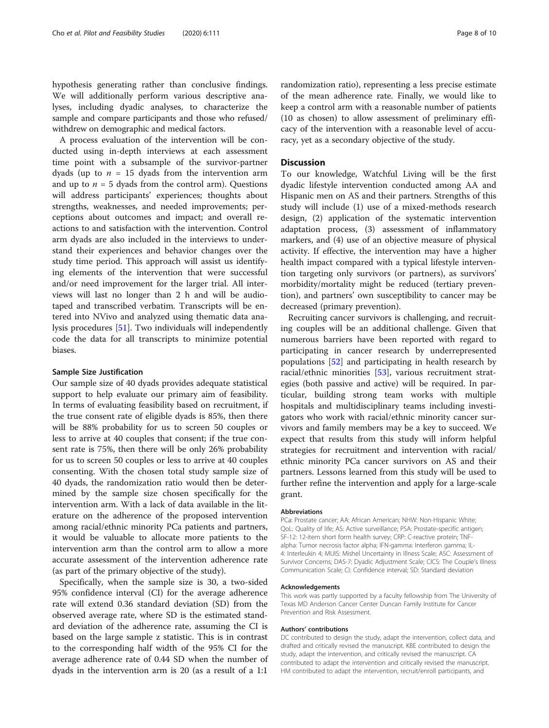hypothesis generating rather than conclusive findings. We will additionally perform various descriptive analyses, including dyadic analyses, to characterize the sample and compare participants and those who refused/ withdrew on demographic and medical factors.

A process evaluation of the intervention will be conducted using in-depth interviews at each assessment time point with a subsample of the survivor-partner dyads (up to  $n = 15$  dyads from the intervention arm and up to  $n = 5$  dyads from the control arm). Questions will address participants' experiences; thoughts about strengths, weaknesses, and needed improvements; perceptions about outcomes and impact; and overall reactions to and satisfaction with the intervention. Control arm dyads are also included in the interviews to understand their experiences and behavior changes over the study time period. This approach will assist us identifying elements of the intervention that were successful and/or need improvement for the larger trial. All interviews will last no longer than 2 h and will be audiotaped and transcribed verbatim. Transcripts will be entered into NVivo and analyzed using thematic data analysis procedures [\[51](#page-9-0)]. Two individuals will independently code the data for all transcripts to minimize potential biases.

#### Sample Size Justification

Our sample size of 40 dyads provides adequate statistical support to help evaluate our primary aim of feasibility. In terms of evaluating feasibility based on recruitment, if the true consent rate of eligible dyads is 85%, then there will be 88% probability for us to screen 50 couples or less to arrive at 40 couples that consent; if the true consent rate is 75%, then there will be only 26% probability for us to screen 50 couples or less to arrive at 40 couples consenting. With the chosen total study sample size of 40 dyads, the randomization ratio would then be determined by the sample size chosen specifically for the intervention arm. With a lack of data available in the literature on the adherence of the proposed intervention among racial/ethnic minority PCa patients and partners, it would be valuable to allocate more patients to the intervention arm than the control arm to allow a more accurate assessment of the intervention adherence rate (as part of the primary objective of the study).

Specifically, when the sample size is 30, a two-sided 95% confidence interval (CI) for the average adherence rate will extend 0.36 standard deviation (SD) from the observed average rate, where SD is the estimated standard deviation of the adherence rate, assuming the CI is based on the large sample z statistic. This is in contrast to the corresponding half width of the 95% CI for the average adherence rate of 0.44 SD when the number of dyads in the intervention arm is 20 (as a result of a 1:1

randomization ratio), representing a less precise estimate of the mean adherence rate. Finally, we would like to keep a control arm with a reasonable number of patients (10 as chosen) to allow assessment of preliminary efficacy of the intervention with a reasonable level of accuracy, yet as a secondary objective of the study.

## **Discussion**

To our knowledge, Watchful Living will be the first dyadic lifestyle intervention conducted among AA and Hispanic men on AS and their partners. Strengths of this study will include (1) use of a mixed-methods research design, (2) application of the systematic intervention adaptation process, (3) assessment of inflammatory markers, and (4) use of an objective measure of physical activity. If effective, the intervention may have a higher health impact compared with a typical lifestyle intervention targeting only survivors (or partners), as survivors' morbidity/mortality might be reduced (tertiary prevention), and partners' own susceptibility to cancer may be decreased (primary prevention).

Recruiting cancer survivors is challenging, and recruiting couples will be an additional challenge. Given that numerous barriers have been reported with regard to participating in cancer research by underrepresented populations [[52](#page-9-0)] and participating in health research by racial/ethnic minorities [[53](#page-9-0)], various recruitment strategies (both passive and active) will be required. In particular, building strong team works with multiple hospitals and multidisciplinary teams including investigators who work with racial/ethnic minority cancer survivors and family members may be a key to succeed. We expect that results from this study will inform helpful strategies for recruitment and intervention with racial/ ethnic minority PCa cancer survivors on AS and their partners. Lessons learned from this study will be used to further refine the intervention and apply for a large-scale grant.

#### Abbreviations

PCa: Prostate cancer; AA: African American; NHW: Non-Hispanic White; QoL: Quality of life; AS: Active surveillance; PSA: Prostate-specific antigen; SF-12: 12-item short form health survey; CRP: C-reactive protein; TNFalpha: Tumor necrosis factor alpha; IFN-gamma: Interferon gamma; IL-4: Interleukin 4; MUIS: Mishel Uncertainty in Illness Scale; ASC: Assessment of Survivor Concerns; DAS-7: Dyadic Adjustment Scale; CICS: The Couple's Illness Communication Scale; CI: Confidence interval; SD: Standard deviation

#### Acknowledgements

This work was partly supported by a faculty fellowship from The University of Texas MD Anderson Cancer Center Duncan Family Institute for Cancer Prevention and Risk Assessment.

#### Authors' contributions

DC contributed to design the study, adapt the intervention, collect data, and drafted and critically revised the manuscript. KBE contributed to design the study, adapt the intervention, and critically revised the manuscript. CA contributed to adapt the intervention and critically revised the manuscript. HM contributed to adapt the intervention, recruit/enroll participants, and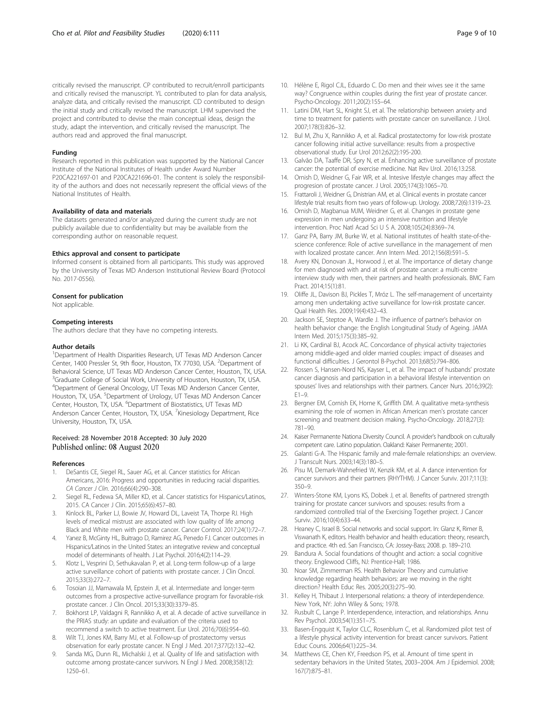<span id="page-8-0"></span>critically revised the manuscript. CP contributed to recruit/enroll participants and critically revised the manuscript. YL contributed to plan for data analysis, analyze data, and critically revised the manuscript. CD contributed to design the initial study and critically revised the manuscript. LHM supervised the project and contributed to devise the main conceptual ideas, design the study, adapt the intervention, and critically revised the manuscript. The authors read and approved the final manuscript.

#### Funding

Research reported in this publication was supported by the National Cancer Institute of the National Institutes of Health under Award Number P20CA221697-01 and P20CA221696-01. The content is solely the responsibility of the authors and does not necessarily represent the official views of the National Institutes of Health.

#### Availability of data and materials

The datasets generated and/or analyzed during the current study are not publicly available due to confidentiality but may be available from the corresponding author on reasonable request.

#### Ethics approval and consent to participate

Informed consent is obtained from all participants. This study was approved by the University of Texas MD Anderson Institutional Review Board (Protocol No. 2017-0556).

#### Consent for publication

Not applicable.

#### Competing interests

The authors declare that they have no competing interests.

#### Author details

<sup>1</sup>Department of Health Disparities Research, UT Texas MD Anderson Cancer Center, 1400 Pressler St, 9th floor, Houston, TX 77030, USA. <sup>2</sup>Department of Behavioral Science, UT Texas MD Anderson Cancer Center, Houston, TX, USA. <sup>3</sup>Graduate College of Social Work, University of Houston, Houston, TX, USA. 4 Department of General Oncology, UT Texas MD Anderson Cancer Center, Houston, TX, USA. <sup>5</sup>Department of Urology, UT Texas MD Anderson Cancer Center, Houston, TX, USA. <sup>6</sup>Department of Biostatistics, UT Texas MD Anderson Cancer Center, Houston, TX, USA. <sup>7</sup>Kinesiology Department, Rice University, Houston, TX, USA.

#### Received: 28 November 2018 Accepted: 30 July 2020 Published online: 08 August 2020

#### References

- 1. DeSantis CE, Siegel RL, Sauer AG, et al. Cancer statistics for African Americans, 2016: Progress and opportunities in reducing racial disparities. CA Cancer J Clin. 2016;66(4):290–308.
- 2. Siegel RL, Fedewa SA, Miller KD, et al. Cancer statistics for Hispanics/Latinos, 2015. CA Cancer J Clin. 2015;65(6):457–80.
- Kinlock BL, Parker LJ, Bowie JV, Howard DL, Laveist TA, Thorpe RJ. High levels of medical mistrust are associated with low quality of life among Black and White men with prostate cancer. Cancer Control. 2017;24(1):72–7.
- Yanez B, McGinty HL, Buitrago D, Ramirez AG, Penedo FJ. Cancer outcomes in Hispanics/Latinos in the United States: an integrative review and conceptual model of determinants of health. J Lat Psychol. 2016;4(2):114–29.
- Klotz L, Vesprini D, Sethukavalan P, et al. Long-term follow-up of a large active surveillance cohort of patients with prostate cancer. J Clin Oncol. 2015;33(3):272–7.
- 6. Tosoian JJ, Mamawala M, Epstein JI, et al. Intermediate and longer-term outcomes from a prospective active-surveillance program for favorable-risk prostate cancer. J Clin Oncol. 2015;33(30):3379–85.
- 7. Bokhorst LP, Valdagni R, Rannikko A, et al. A decade of active surveillance in the PRIAS study: an update and evaluation of the criteria used to recommend a switch to active treatment. Eur Urol. 2016;70(6):954–60.
- Wilt TJ, Jones KM, Barry MJ, et al. Follow-up of prostatectomy versus observation for early prostate cancer. N Engl J Med. 2017;377(2):132–42.
- Sanda MG, Dunn RL, Michalski J, et al. Quality of life and satisfaction with outcome among prostate-cancer survivors. N Engl J Med. 2008;358(12): 1250–61.
- 10. Hélène E, Rigol CJL, Eduardo C. Do men and their wives see it the same way? Congruence within couples during the first year of prostate cancer. Psycho-Oncology. 2011;20(2):155–64.
- 11. Latini DM, Hart SL, Knight SJ, et al. The relationship between anxiety and time to treatment for patients with prostate cancer on surveillance. J Urol. 2007;178(3):826–32.
- 12. Bul M, Zhu X, Rannikko A, et al. Radical prostatectomy for low-risk prostate cancer following initial active surveillance: results from a prospective observational study. Eur Urol 2012;62(2):195-200.
- 13. Galvão DA, Taaffe DR, Spry N, et al. Enhancing active surveillance of prostate cancer: the potential of exercise medicine. Nat Rev Urol. 2016;13:258.
- 14. Ornish D, Weidner G, Fair WR, et al. Intesive lifestyle changes may affect the progresion of prostate cancer. J Urol. 2005;174(3):1065–70.
- 15. Frattaroli J, Weidner G, Dnistrian AM, et al. Clinical events in prostate cancer lifestyle trial: results from two years of follow-up. Urology. 2008;72(6):1319–23.
- 16. Ornish D, Magbanua MJM, Weidner G, et al. Changes in prostate gene expression in men undergoing an intensive nutrition and lifestyle intervention. Proc Natl Acad Sci U S A. 2008;105(24):8369–74.
- 17. Ganz PA, Barry JM, Burke W, et al. National institutes of health state-of-thescience conference: Role of active surveillance in the management of men with localized prostate cancer. Ann Intern Med. 2012;156(8):591–5.
- 18. Avery KN, Donovan JL, Horwood J, et al. The importance of dietary change for men diagnosed with and at risk of prostate cancer: a multi-centre interview study with men, their partners and health professionals. BMC Fam Pract. 2014;15(1):81.
- 19. Oliffe JL, Davison BJ, Pickles T, Mróz L. The self-management of uncertainty among men undertaking active surveillance for low-risk prostate cancer. Qual Health Res. 2009;19(4):432–43.
- 20. Jackson SE, Steptoe A, Wardle J. The influence of partner's behavior on health behavior change: the English Longitudinal Study of Ageing. JAMA Intern Med. 2015;175(3):385–92.
- 21. Li KK, Cardinal BJ, Acock AC. Concordance of physical activity trajectories among middle-aged and older married couples: impact of diseases and functional difficulties. J Gerontol B-Psychol. 2013;68(5):794–806.
- 22. Rossen S, Hansen-Nord NS, Kayser L, et al. The impact of husbands' prostate cancer diagnosis and participation in a behavioral lifestyle intervention on spouses' lives and relationships with their partners. Cancer Nurs. 2016;39(2):  $F1-9$
- 23. Bergner EM, Cornish EK, Horne K, Griffith DM. A qualitative meta-synthesis examining the role of women in African American men's prostate cancer screening and treatment decision making. Psycho-Oncology. 2018;27(3): 781–90.
- 24. Kaiser Permanente Nationa Diversity Council. A provider's handbook on culturally competent care. Latino population. Oakland: Kaiser Permanente; 2001.
- 25. Galanti G-A. The Hispanic family and male-female relationships: an overview. J Transcult Nurs. 2003;14(3):180–5.
- 26. Pisu M, Demark-Wahnefried W, Kenzik KM, et al. A dance intervention for cancer survivors and their partners (RHYTHM). J Cancer Surviv. 2017;11(3): 350–9.
- 27. Winters-Stone KM, Lyons KS, Dobek J, et al. Benefits of partnered strength training for prostate cancer survivors and spouses: results from a randomized controlled trial of the Exercising Together project. J Cancer Surviv. 2016;10(4):633–44.
- 28. Heaney C, Israel B. Social networks and social support. In: Glanz K, Rimer B, Viswanath K, editors. Health behavior and health education: theory, research, and practice. 4th ed. San Francisco, CA: Jossey-Bass; 2008. p. 189–210.
- 29. Bandura A. Social foundations of thought and action: a social cognitive theory. Englewood Cliffs, NJ: Prentice-Hall; 1986.
- 30. Noar SM, Zimmerman RS. Health Behavior Theory and cumulative knowledge regarding health behaviors: are we moving in the right direction? Health Educ Res. 2005;20(3):275–90.
- 31. Kelley H, Thibaut J. Interpersonal relations: a theory of interdependence. New York, NY: John Wiley & Sons; 1978.
- 32. Rusbult C, Lange P. Interdependence, interaction, and relationships. Annu Rev Psychol. 2003;54(1):351–75.
- 33. Basen-Engquist K, Taylor CLC, Rosenblum C, et al. Randomized pilot test of a lifestyle physical activity intervention for breast cancer survivors. Patient Educ Couns. 2006;64(1):225–34.
- 34. Matthews CE, Chen KY, Freedson PS, et al. Amount of time spent in sedentary behaviors in the United States, 2003–2004. Am J Epidemiol. 2008; 167(7):875–81.